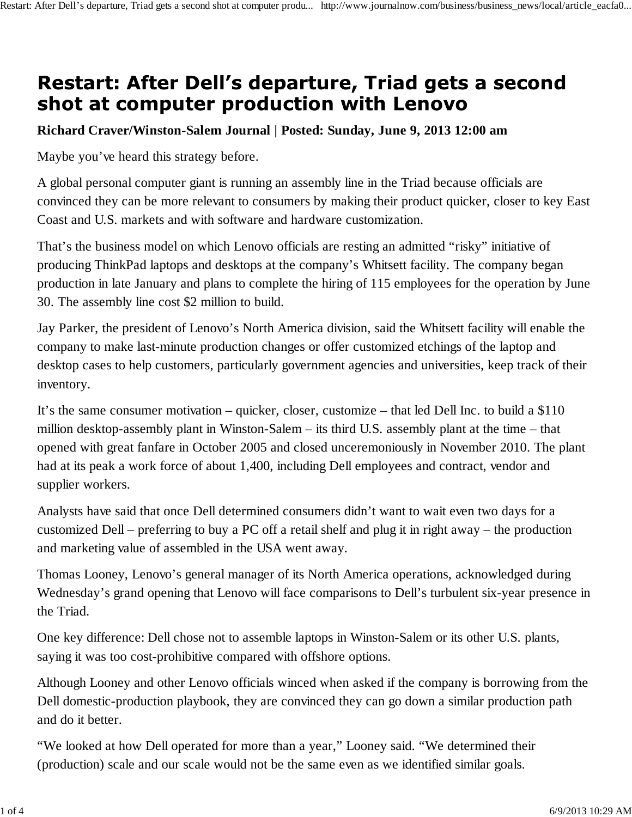## Restart: After Dell's departure, Triad gets a second shot at computer production with Lenovo

## **Richard Craver/Winston-Salem Journal | Posted: Sunday, June 9, 2013 12:00 am**

Maybe you've heard this strategy before.

A global personal computer giant is running an assembly line in the Triad because officials are convinced they can be more relevant to consumers by making their product quicker, closer to key East Coast and U.S. markets and with software and hardware customization.

That's the business model on which Lenovo officials are resting an admitted "risky" initiative of producing ThinkPad laptops and desktops at the company's Whitsett facility. The company began production in late January and plans to complete the hiring of 115 employees for the operation by June 30. The assembly line cost \$2 million to build.

Jay Parker, the president of Lenovo's North America division, said the Whitsett facility will enable the company to make last-minute production changes or offer customized etchings of the laptop and desktop cases to help customers, particularly government agencies and universities, keep track of their inventory.

It's the same consumer motivation – quicker, closer, customize – that led Dell Inc. to build a \$110 million desktop-assembly plant in Winston-Salem – its third U.S. assembly plant at the time – that opened with great fanfare in October 2005 and closed unceremoniously in November 2010. The plant had at its peak a work force of about 1,400, including Dell employees and contract, vendor and supplier workers.

Analysts have said that once Dell determined consumers didn't want to wait even two days for a customized Dell – preferring to buy a PC off a retail shelf and plug it in right away – the production and marketing value of assembled in the USA went away.

Thomas Looney, Lenovo's general manager of its North America operations, acknowledged during Wednesday's grand opening that Lenovo will face comparisons to Dell's turbulent six-year presence in the Triad.

One key difference: Dell chose not to assemble laptops in Winston-Salem or its other U.S. plants, saying it was too cost-prohibitive compared with offshore options.

Although Looney and other Lenovo officials winced when asked if the company is borrowing from the Dell domestic-production playbook, they are convinced they can go down a similar production path and do it better.

"We looked at how Dell operated for more than a year," Looney said. "We determined their (production) scale and our scale would not be the same even as we identified similar goals.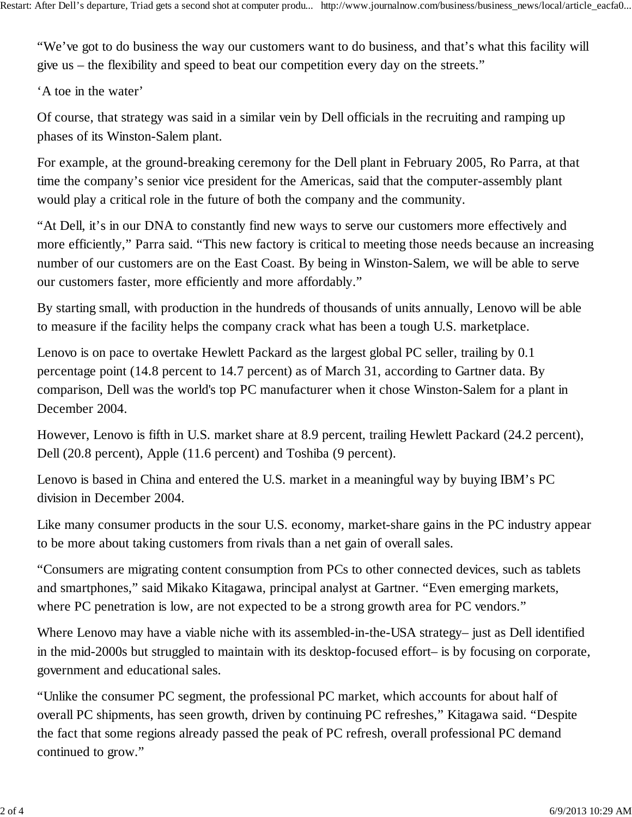"We've got to do business the way our customers want to do business, and that's what this facility will give us – the flexibility and speed to beat our competition every day on the streets."

'A toe in the water'

Of course, that strategy was said in a similar vein by Dell officials in the recruiting and ramping up phases of its Winston-Salem plant.

For example, at the ground-breaking ceremony for the Dell plant in February 2005, Ro Parra, at that time the company's senior vice president for the Americas, said that the computer-assembly plant would play a critical role in the future of both the company and the community.

"At Dell, it's in our DNA to constantly find new ways to serve our customers more effectively and more efficiently," Parra said. "This new factory is critical to meeting those needs because an increasing number of our customers are on the East Coast. By being in Winston-Salem, we will be able to serve our customers faster, more efficiently and more affordably."

By starting small, with production in the hundreds of thousands of units annually, Lenovo will be able to measure if the facility helps the company crack what has been a tough U.S. marketplace.

Lenovo is on pace to overtake Hewlett Packard as the largest global PC seller, trailing by 0.1 percentage point (14.8 percent to 14.7 percent) as of March 31, according to Gartner data. By comparison, Dell was the world's top PC manufacturer when it chose Winston-Salem for a plant in December 2004.

However, Lenovo is fifth in U.S. market share at 8.9 percent, trailing Hewlett Packard (24.2 percent), Dell (20.8 percent), Apple (11.6 percent) and Toshiba (9 percent).

Lenovo is based in China and entered the U.S. market in a meaningful way by buying IBM's PC division in December 2004.

Like many consumer products in the sour U.S. economy, market-share gains in the PC industry appear to be more about taking customers from rivals than a net gain of overall sales.

"Consumers are migrating content consumption from PCs to other connected devices, such as tablets and smartphones," said Mikako Kitagawa, principal analyst at Gartner. "Even emerging markets, where PC penetration is low, are not expected to be a strong growth area for PC vendors."

Where Lenovo may have a viable niche with its assembled-in-the-USA strategy– just as Dell identified in the mid-2000s but struggled to maintain with its desktop-focused effort– is by focusing on corporate, government and educational sales.

"Unlike the consumer PC segment, the professional PC market, which accounts for about half of overall PC shipments, has seen growth, driven by continuing PC refreshes," Kitagawa said. "Despite the fact that some regions already passed the peak of PC refresh, overall professional PC demand continued to grow."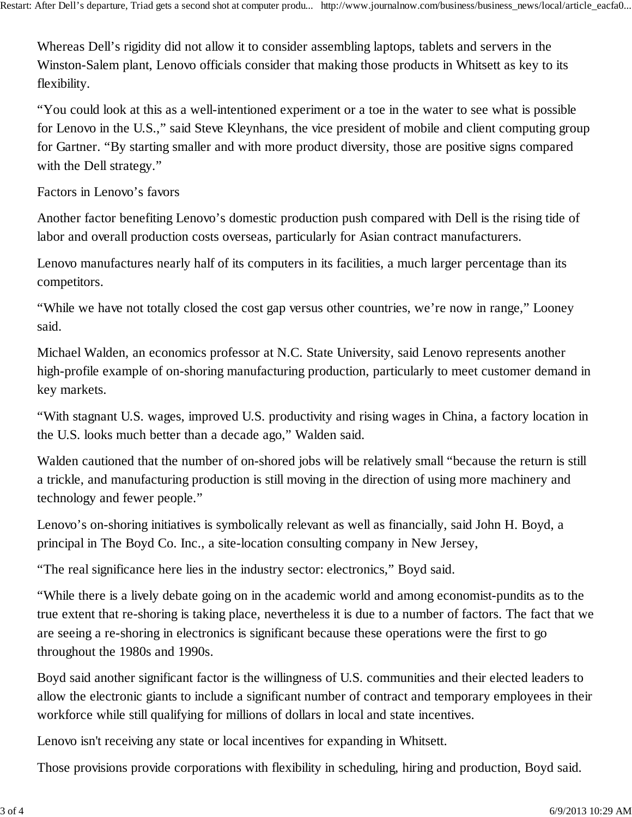Whereas Dell's rigidity did not allow it to consider assembling laptops, tablets and servers in the Winston-Salem plant, Lenovo officials consider that making those products in Whitsett as key to its flexibility.

"You could look at this as a well-intentioned experiment or a toe in the water to see what is possible for Lenovo in the U.S.," said Steve Kleynhans, the vice president of mobile and client computing group for Gartner. "By starting smaller and with more product diversity, those are positive signs compared with the Dell strategy."

Factors in Lenovo's favors

Another factor benefiting Lenovo's domestic production push compared with Dell is the rising tide of labor and overall production costs overseas, particularly for Asian contract manufacturers.

Lenovo manufactures nearly half of its computers in its facilities, a much larger percentage than its competitors.

"While we have not totally closed the cost gap versus other countries, we're now in range," Looney said.

Michael Walden, an economics professor at N.C. State University, said Lenovo represents another high-profile example of on-shoring manufacturing production, particularly to meet customer demand in key markets.

"With stagnant U.S. wages, improved U.S. productivity and rising wages in China, a factory location in the U.S. looks much better than a decade ago," Walden said.

Walden cautioned that the number of on-shored jobs will be relatively small "because the return is still a trickle, and manufacturing production is still moving in the direction of using more machinery and technology and fewer people."

Lenovo's on-shoring initiatives is symbolically relevant as well as financially, said John H. Boyd, a principal in The Boyd Co. Inc., a site-location consulting company in New Jersey,

"The real significance here lies in the industry sector: electronics," Boyd said.

"While there is a lively debate going on in the academic world and among economist-pundits as to the true extent that re-shoring is taking place, nevertheless it is due to a number of factors. The fact that we are seeing a re-shoring in electronics is significant because these operations were the first to go throughout the 1980s and 1990s.

Boyd said another significant factor is the willingness of U.S. communities and their elected leaders to allow the electronic giants to include a significant number of contract and temporary employees in their workforce while still qualifying for millions of dollars in local and state incentives.

Lenovo isn't receiving any state or local incentives for expanding in Whitsett.

Those provisions provide corporations with flexibility in scheduling, hiring and production, Boyd said.